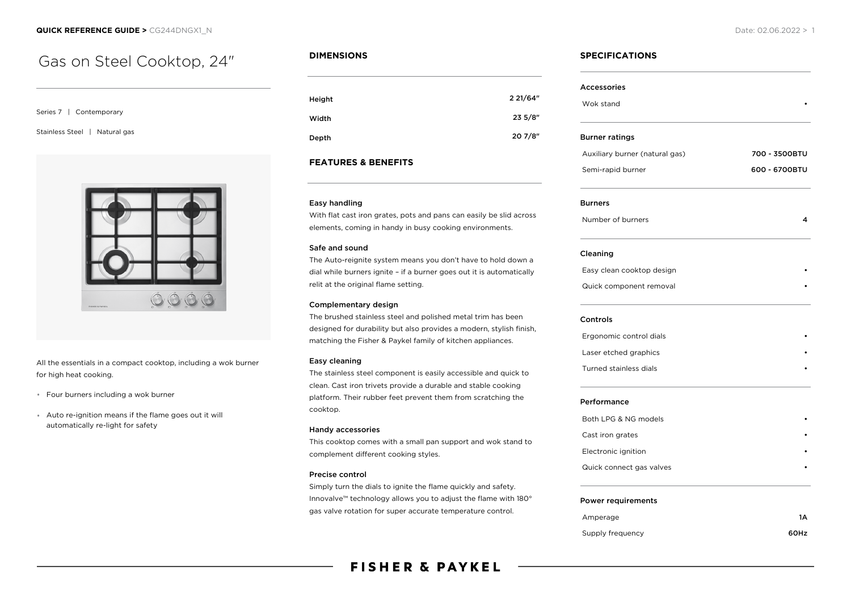# Gas on Steel Cooktop, 24"

Series 7 | Contemporary

Stainless Steel | Natural gas



All the essentials in a compact cooktop, including a wok burner for high heat cooking.

- Four burners including a wok burner
- Auto re-ignition means if the flame goes out it will automatically re-light for safety

# **DIMENSIONS**

| Height | 2 21/64" |
|--------|----------|
| Width  | 235/8"   |
| Depth  | 20 7/8"  |

## **FEATURES & BENEFITS**

#### Easy handling

With flat cast iron grates, pots and pans can easily be slid across elements, coming in handy in busy cooking environments.

#### Safe and sound

The Auto-reignite system means you don't have to hold down a dial while burners ignite – if a burner goes out it is automatically relit at the original flame setting.

#### Complementary design

The brushed stainless steel and polished metal trim has been designed for durability but also provides a modern, stylish finish, matching the Fisher & Paykel family of kitchen appliances.

#### Easy cleaning

The stainless steel component is easily accessible and quick to clean. Cast iron trivets provide a durable and stable cooking platform. Their rubber feet prevent them from scratching the cooktop.

#### Handy accessories

This cooktop comes with a small pan support and wok stand to complement different cooking styles.

### Precise control

Simply turn the dials to ignite the flame quickly and safety. Innovalve™ technology allows you to adjust the flame with 180° gas valve rotation for super accurate temperature control.

# **SPECIFICATIONS**

| <b>Accessories</b>             |               |
|--------------------------------|---------------|
| Wok stand                      |               |
| <b>Burner ratings</b>          |               |
| Auxiliary burner (natural gas) | 700 - 3500BTU |
| Semi-rapid burner              | 600 - 6700BTU |
| <b>Burners</b>                 |               |
| Number of burners              | 4             |
| Cleaning                       |               |
| Easy clean cooktop design      |               |
| Quick component removal        |               |
| Controls                       |               |
| Ergonomic control dials        |               |
| Laser etched graphics          |               |
| Turned stainless dials         |               |
| Performance                    |               |
| Both LPG & NG models           |               |
| Cast iron grates               |               |
| Electronic ignition            |               |
| Quick connect gas valves       |               |
| <b>Power requirements</b>      |               |
| Amperage                       | 1A            |
| Supply frequency               | 60Hz          |